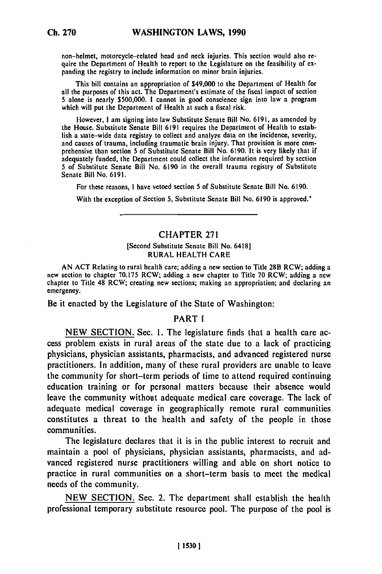non-helmet, motorcycle-related head and neck injuries. This section would also require the Department of Health to report to the Legislature on the feasibility **of ex** panding the registry to include information on minor brain injuries.

This bill contains an appropriation of \$49,000 to the Department of Health for all the purposes of this act. The Department's estimate of the fiscal impact of section **5** alone is nearly \$500,000. **I** cannot in good conscience sign into law a program which will put the Department of Health at such a fiscal risk.

However, **I** am signing into law Substitute Senate Bill No. **6191,** as amended **by** the House. Substitute Senate Bill **6191** requires the Department of Health to establish a state-wide data registry to collect and analyze data on the incidence, severity, and causes of trauma, including traumatic brain injury. That provision is more comprehensive than section **5** of Substitute Senate Bill No. 6190. It is very likely that if adequately funded, the Department could collect the information required **by** section 5 of Substitute Senate Bill No. **6190** in the overall trauma registry **of** Substitute Senate Bill No. **6191.**

For these reasons, **I** have vetoed section 5 of Substitute Senate Bill No. **6190.**

With the exception of Section **5,** Substitute Senate Bill No. **6190** is approved.\*

### **CHAPTER 271**

#### [Second Substitute Senate Bill No. 6418] **RURAL HEALTH CARE**

**AN ACT** Relating to rural health care; adding a new section to Title 28B RCW; adding a new section to chapter 70.175 RCW; adding a new chapter to Title 70 RCW; adding a new chapter to Title 48 RCW; creating new sections; making an appropriation; and declaring an emergency.

Be it enacted **by** the Legislature of the State of Washington:

## **PART I**

**NEW SECTION.** Sec. **1.** The legislature finds that a health care access problem exists in rural areas of the state due to a lack of practicing physicians, physician assistants, pharmacists, and advanced registered nurse practitioners. In addition, many of these rural providers are unable to leave the community for short-term periods of time to attend required continuing education training or for personal matters because their absence would leave the community without adequate medical care coverage. The lack of adequate medical coverage in geographically remote rural communities constitutes a threat to the health and safety of the people in those communities.

The legislature declares that it is in the public interest to recruit and maintain a pool of physicians, physician assistants, pharmacists, and advanced registered nurse practitioners willing and able on short notice to practice in rural communities on a short-term basis to meet the medical needs of the community.

**NEW SECTION.** Sec. 2. The department shall establish the health professional temporary substitute resource pool. The purpose of the pool is

**115301**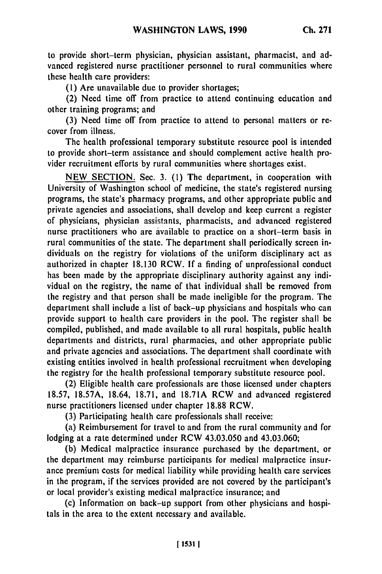to provide short-term physician, physician assistant, pharmacist, and advanced registered nurse practitioner personnel to rural communities where these health care providers:

**(I)** Are unavailable due to provider shortages;

(2) Need time off from practice to attend continuing education and other training programs; and

**(3)** Need time off from practice to attend to personal matters or recover from illness.

The health professional temporary substitute resource pool is intended to provide short-term assistance and should complement active health provider recruitment efforts **by** rural communities where shortages exist.

**NEW SECTION.** Sec. **3. (1)** The department, in cooperation with University of Washington school of medicine, the state's registered nursing programs, the state's pharmacy programs, and other appropriate public and private agencies and associations, shall develop and keep current a register of physicians, physician assistants, pharmacists, and advanced registered nurse practitioners who are available to practice on a short-term basis in rural communities of the state. The department shall periodically screen individuals on the registry for violations of the uniform disciplinary act as authorized in chapter **18.130** RCW. **If** a finding of unprofessional conduct has been made **by** the appropriate disciplinary authority against any individual on the registry, the name of that individual shall be removed from the registry and that person shall be made ineligible for the program. The department shall include a list of back-up physicians and hospitals who can provide support to health care providers in the pool. The register shall be compiled, published, and made available to all rural hospitals, public health departments and districts, rural pharmacies, and other appropriate public and private agencies and associations. The department shall coordinate with existing entities involved in health professional recruitment when developing the registry for the health professional temporary substitute resource pool.

(2) Eligible health care professionals are those licensed under chapters **18.57, 18.57A,** 18.64, **18.71,** and **18.71A** RCW and advanced registered nurse practitioners licensed under chapter **18.88** RCW.

**(3)** Participating health care professionals shall receive:

(a) Reimbursement for travel to and from the rural community and for lodging at a rate determined under RCW 43.03.050 and 43.03.060;

**(b)** Medical malpractice insurance purchased **by** the department, or the department may reimburse participants for medical malpractice insurance premium costs for medical liability while providing health care services in the program, if the services provided are not covered **by** the participant's or local provider's existing medical malpractice insurance; and

(c) Information on back-up support from other physicians and hospitals in the area to the extent necessary and available.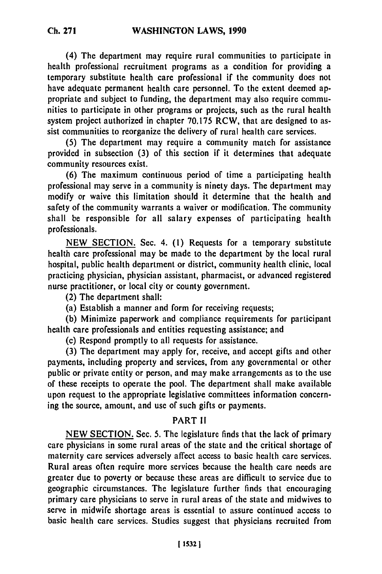(4) The department may require rural communities to participate in health professional recruitment programs as a condition for providing a temporary substitute health care professional if the community does not have adequate permanent health care personnel. To the extent deemed appropriate and subject to funding, the department may also require communities to participate in other programs or projects, such as the rural health system project authorized in chapter 70.175 RCW, that are designed to assist communities to reorganize the delivery of rural health care services.

**(5)** The department may require a community match for assistance provided in subsection (3) of this section if it determines that adequate community resources exist.

(6) The maximum continuous period of time a participating health professional may serve in a community is ninety days. The department may modify or waive this limitation should it determine that the health and safety of the community warrants a waiver or modification. The community shall be responsible for all salary expenses of participating health professionals.

NEW SECTION. Sec. 4. (1) Requests for a temporary substitute health care professional may be made to the department by the local rural hospital, public health department or district, community health clinic, local practicing physician, physician assistant, pharmacist, or advanced registered nurse practitioner, or local city or county government.

(2) The department shall:

(a) Establish a manner and form for receiving requests;

(b) Minimize paperwork and compliance requirements for participant health care professionals and entities requesting assistance; and

(c) Respond promptly to all requests for assistance.

(3) The department may apply for, receive, and accept gifts and other payments, including property and services, from any governmental or other public or private entity or person, and may make arrangements as to the use of these receipts to operate the pool. The department shall make available upon request to the appropriate legislative committees information concerning the source, amount, and use of such gifts or payments.

# PART **1I**

NEW SECTION. Sec. 5. The legislature finds that the lack of primary care physicians in some rural areas of the state and the critical shortage of maternity care services adversely affect access to basic health care services. Rural areas often require more services because the health care needs are greater due to poverty or because these areas are difficult to service due to geographic circumstances. The legislature further finds that encouraging primary care physicians to serve in rural areas of the state and midwives to serve in midwife shortage areas is essential to assure continued access to basic health care services. Studies suggest that physicians recruited from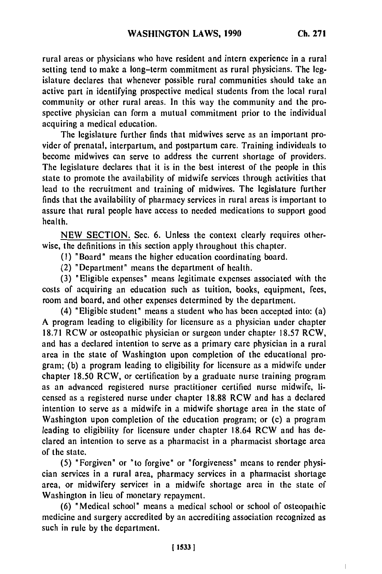$\overline{1}$ 

rural areas or physicians who have resident and intern experience in a rural setting tend to make a long-term commitment as rural physicians. The legislature declares that whenever possible rural communities should take an active part in identifying prospective medical students from the local rural community or other rural areas. In this way the community and the prospective physician can form a mutual commitment prior to the individual acquiring a medical education.

The legislature further finds that midwives serve as an important provider of prenatal, interpartum, and postpartum care. Training individuals to become midwives can serve to address the current shortage of providers. The legislature declares that it is in the best interest of the people in this state to promote the availability of midwife services through activities that lead to the recruitment and training of midwives. The legislature further finds that the availability of pharmacy services in rural areas is important to assure that rural people have access to needed medications to support good health.

NEW SECTION. Sec. 6. Unless the context clearly requires otherwise, the definitions in this section apply throughout this chapter.

**(1)** "Board" means the higher education coordinating board.

(2) "Department" means the department of health.

(3) "Eligible expenses" means legitimate expenses associated with the costs of acquiring an education such as tuition, books, equipment, fees, room and board, and other expenses determined by the department.

(4) "Eligible student" means a student who has been accepted into: (a) A program leading to eligibility for licensure as a physician under chapter 18.71 RCW or osteopathic physician or surgeon under chapter 18.57 RCW, and has a declared intention to serve as a primary care physician in a rural area in the state of Washington upon completion of the educational program; (b) a program leading to eligibility for licensure as a midwife under chapter 18.50 RCW, or certification by a graduate nurse training program as an advanced registered nurse practitioner certified nurse midwife, licensed as a registered nurse under chapter 18.88 RCW and has a declared intention to serve as a midwife in a midwife shortage area in the state of Washington upon completion of the education program; or (c) a program leading to eligibility for licensure under chapter 18.64 RCW and has declared an intention to serve as a pharmacist in a pharmacist shortage area of the state.

(5) "Forgiven" or "to forgive" or "forgiveness" means to render physician services in a rural area, pharmacy services in a pharmacist shortage area, or midwifery services in a midwife shortage area in the state of Washington in lieu of monetary repayment.

(6) "Medical school" means a medical school or school of osteopathic medicine and surgery accredited by an accrediting association recognized as such in rule by the department.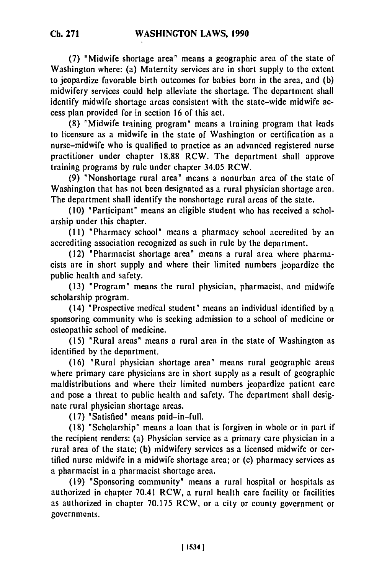**(7)** "Midwife shortage area" means a geographic area of the state of Washington where: (a) Maternity services are in short supply to the extent to jeopardize favorable birth outcomes for babies born in the area, and (b)

midwifery services could help alleviate the shortage. The department shall identify midwife shortage areas consistent with the state-wide midwife access plan provided for in section 16 of this act.

(8) "Midwife training program" means a training program that leads to licensure as a midwife in the state of Washington or certification as a nurse-midwife who is qualified to practice as an advanced registered nurse practitioner under chapter 18.88 RCW. The department shall approve training programs by rule under chapter 34.05 RCW.

(9) 'Nonshortage rural area" means a nonurban area of the state of Washington that has not been designated as a rural physician shortage area. The department shall identify the nonshortage rural areas of the state.

(10) "Participant" means an eligible student who has received a scholarship under this chapter.

(11) "Pharmacy school' means a pharmacy school accredited by an accrediting association recognized as such in rule by the department.

(12) "Pharmacist shortage area" means a rural area where pharmacists are in short supply and where their limited numbers jeopardize the public health and safety.

(13) "Program" means the rural physician, pharmacist, and midwife scholarship program.

(14) "Prospective medical student" means an individual identified by a sponsoring community who is seeking admission to a school of medicine or osteopathic school of medicine.

(15) "Rural areas" means a rural area in the state of Washington as identified by the department.

(16) "Rural physician shortage area" means rural geographic areas where primary care physicians are in short supply as a result of geographic maldistributions and where their limited numbers jeopardize patient care and pose a threat to public health and safety. The department shall designate rural physician shortage areas.

(17) "Satisfied" means paid-in-full.

(18) "Scholarship" means a loan that is forgiven in whole or in part if the recipient renders: (a) Physician service as a primary care physician in a rural area of the state; (b) midwifery services as a licensed midwife or certified nurse midwife in a midwife shortage area; or (c) pharmacy services as a pharmacist in a pharmacist shortage area.

(19) "Sponsoring community" means a rural hospital or hospitals as authorized in chapter 70.41 RCW, a rural health care facility or facilities as authorized in chapter 70.175 RCW, or a city or county government or governments.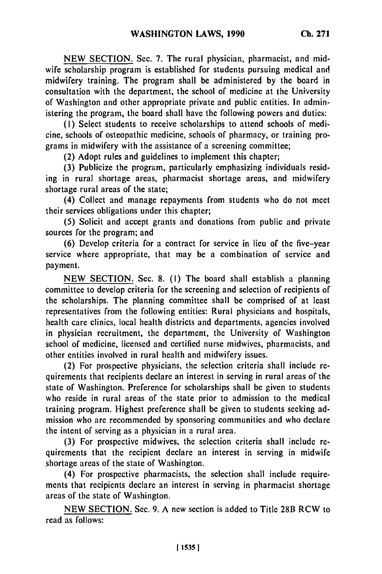NEW SECTION. Sec. 7. The rural physician, pharmacist, and midwife scholarship program is established for students pursuing medical and midwifery training. The program shall be administered by the board in consultation with the department, the school of medicine at the University of Washington and other appropriate private and public entities. In administering the program, the board shall have the following powers and duties:

**(I)** Select students to receive scholarships to attend schools of medicine, schools of osteopathic medicine, schools of pharmacy, or training programs in midwifery with the assistance of a screening committee;

(2) Adopt rules and guidelines to implement this chapter;

(3) Publicize the program, particularly emphasizing individuals residing in rural shortage areas, pharmacist shortage areas, and midwifery shortage rural areas of the state;

(4) Collect and manage repayments from students who do not meet their services obligations under this chapter;

(5) Solicit and accept grants and donations from public and private sources for the program; and

(6) Develop criteria for a contract for service in lieu of the five-year service where appropriate, that may be a combination of service and payment.

NEW SECTION. Sec. 8. **(1)** The board shall establish a planning committee to develop criteria for the screening and selection of recipients of the scholarships. The planning committee shall be comprised of at least representatives from the following entities: Rural physicians and hospitals, health care clinics, local health districts and departments, agencies involved in physician recruitment, the department, the University of Washington school of medicine, licensed and certified nurse midwives, pharmacists, and other entities involved in rural health and midwifery issues.

(2) For prospective physicians, the selection criteria shall include requirements that recipients declare an interest in serving in rural areas of the state of Washington. Preference for scholarships shall be given to students who reside in rural areas of the state prior to admission to the medical training program. Highest preference shall be given to students seeking admission who are recommended by sponsoring communities and who declare the intent of serving as a physician in a rural area.

(3) For prospective midwives, the selection criteria shall include requirements that the recipient declare an interest in serving in midwife shortage areas of the state of Washington.

(4) For prospective pharmacists, the selection shall include requirements that recipients declare an interest in serving in pharmacist shortage areas of the state of Washington.

NEW SECTION. Sec. 9. A new section is added to Title 28B RCW to read as follows: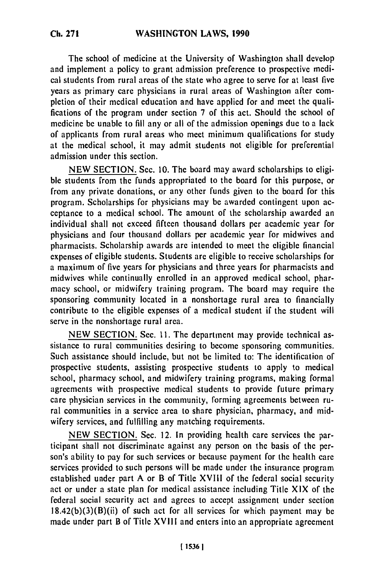The school of medicine at the University of Washington shall develop and implement a policy to grant admission preference to prospective medical students from rural areas of the state who agree to serve for at least five years as primary care physicians in rural areas of Washington after completion of their medical education and have applied for and meet the qualifications of the program under section 7 of this act. Should the school of medicine be unable to fill any or all of the admission openings due to a lack of applicants from rural areas who meet minimum qualifications for study at the medical school, it may admit students not eligible for preferential admission under this section.

NEW SECTION. Sec. 10. The board may award scholarships to eligible students from the funds appropriated to the board for this purpose, or from any private donations, or any other funds given to the board for this program. Scholarships for physicians may be awarded contingent upon acceptance to a medical school. The amount of the scholarship awarded an individual shall not exceed fifteen thousand dollars per academic year for physicians and four thousand dollars per academic year for midwives and pharmacists. Scholarship awards are intended to meet the eligible financial expenses of eligible students. Students are eligible to receive scholarships for a maximum of five years for physicians and three years for pharmacists and midwives while continually enrolled in an approved medical school, pharmacy school, or midwifery training program. The board may require the sponsoring community located in a nonshortage rural area to financially contribute to the eligible expenses of a medical student if the student will serve in the nonshortage rural area.

NEW SECTION. Sec. **11.** The department may provide technical assistance to rural communities desiring to become sponsoring communities. Such assistance should include, but not be limited to: The identification of prospective students, assisting prospective students to apply to medical school, pharmacy school, and midwifery training programs, making formal agreements with prospective medical students to provide future primary care physician services in the community, forming agreements between rural communities in a service area to share physician, pharmacy, and midwifery services, and fulfilling any matching requirements.

NEW SECTION. Sec. 12. In providing health care services the participant shall not discriminate against any person on the basis of the person's ability to pay for such services or because payment for the health care services provided to such persons will be made under the insurance program established under part A or B of Title XVIII of the federal social security act or under a state plan for medical assistance including Title XIX of the federal social security act and agrees to accept assignment under section  $18.42(b)(3)(B)(ii)$  of such act for all services for which payment may be made under part B of Title **XVIll** and enters into an appropriate agreement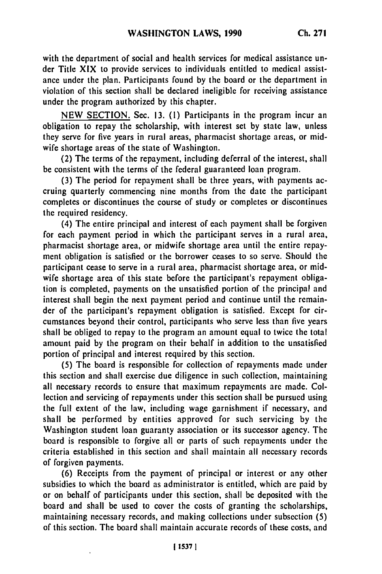with the department of social and health services for medical assistance under Title XIX to provide services to individuals entitled to medical assistance under the plan. Participants found by the board or the department in violation of this section shall be declared ineligible for receiving assistance under the program authorized by this chapter.

NEW SECTION. Sec. 13. (1) Participants in the program incur an obligation to repay the scholarship, with interest set by state law, unless they serve for five years in rural areas, pharmacist shortage areas, or midwife shortage areas of the state of Washington.

(2) The terms of the repayment, including deferral of the interest, shall be consistent with the terms of the federal guaranteed loan program.

(3) The period for repayment shall be three years, with payments accruing quarterly commencing nine months from the date the participant completes or discontinues the course of study or completes or discontinues the required residency.

(4) The entire principal and interest of each payment shall be forgiven for each payment period in which the participant serves in a rural area, pharmacist shortage area, or midwife shortage area until the entire repayment obligation is satisfied or the borrower ceases to so serve. Should the participant cease to serve in a rural area, pharmacist shortage area, or midwife shortage area of this state before the participant's repayment obligation is completed, payments on the unsatisfied portion of the principal and interest shall begin the next payment period and continue until the remainder of the participant's repayment obligation is satisfied. Except for circumstances beyond their control, participants who serve less than five years shall be obliged to repay to the program an amount equal to twice the total amount paid by the program on their behalf in addition to the unsatisfied portion of principal and interest required by this section.

(5) The board is responsible for collection of repayments made under this section and shall exercise due diligence in such collection, maintaining all necessary records to ensure that maximum repayments are made. Collection and servicing of repayments under this section shall be pursued using the full extent of the law, including wage garnishment if necessary, and shall be performed by entities approved for such servicing by the Washington student loan guaranty association or its successor agency. The board is responsible to forgive all or parts of such repayments under the criteria established in this section and shall maintain all necessary records of forgiven payments.

(6) Receipts from the payment of principal or interest or any other subsidies to which the board as administrator is entitled, which are paid by or on behalf of participants under this section, shall be deposited with the board and shall be used to cover the costs of granting the scholarships, maintaining necessary records, and making collections under subsection (5) of this section. The board shall maintain accurate records of these costs, and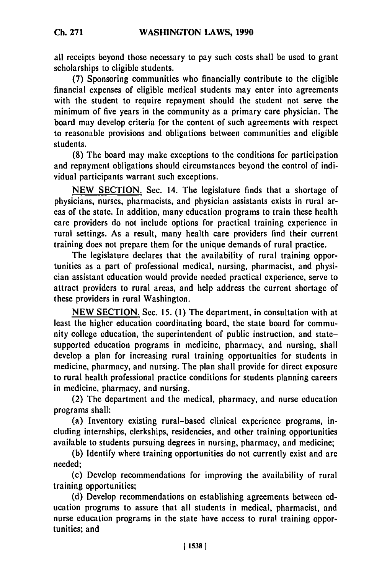all receipts beyond those necessary to pay such costs shall be used to grant scholarships to eligible students.

**(7)** Sponsoring communities who financially contribute to the eligible financial expenses of eligible medical students may enter into agreements with the student to require repayment should the student not serve the minimum of five years in the community as a primary care physician. The board may develop criteria for the content of such agreements with respect to reasonable provisions and obligations between communities and eligible students.

(8) The board may make exceptions to the conditions for participation and repayment obligations should circumstances beyond the control of individual participants warrant such exceptions.

**NEW** SECTION. Sec. 14. The legislature finds that a shortage of physicians, nurses, pharmacists, and physician assistants exists in rural areas of the state. In addition, many education programs to train these health care providers do not include options for practical training experience in rural settings. As a result, many health care providers find their current training does not prepare them for the unique demands of rural practice.

The legislature declares that the availability of rural training opportunities as a part of professional medical, nursing, pharmacist, and physician assistant education would provide needed practical experience, serve to attract providers to rural areas, and help address the current shortage of these providers in rural Washington.

**NEW** SECTION. Sec. **15. (1)** The department, in consultation with at least the higher education coordinating board, the state board for community college education, the superintendent of public instruction, and statesupported education programs in medicine, pharmacy, and nursing, shall develop a plan for increasing rural training opportunities for students in medicine, pharmacy, and nursing. The plan shall provide for direct exposure to rural health professional practice conditions for students planning careers in medicine, pharmacy, and nursing.

(2) The department and the medical, pharmacy, and nurse education programs shall:

(a) Inventory existing rural-based clinical experience programs, including internships, clerkships, residencies, and other training opportunities available to students pursuing degrees in nursing, pharmacy, and medicine;

**(b)** Identify where training opportunities do not currently exist and are needed;

(c) Develop recommendations for improving the availability of rural training opportunities;

**(d)** Develop recommendations on establishing agreements between **ed**ucation programs to assure that all students in medical, pharmacist, and nurse education programs in the state have access to rural training opportunities; and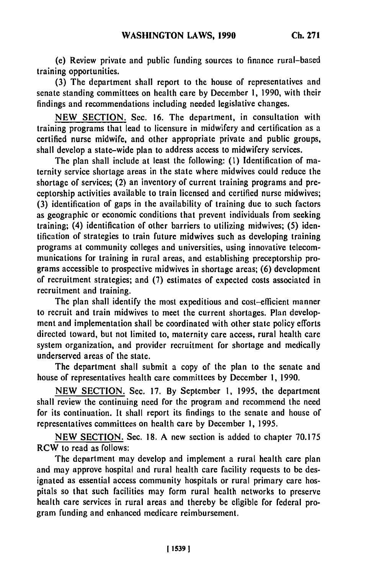(e) Review private and public funding sources to finance rural-based training opportunities.

(3) The department shall report to the house of representatives and senate standing committees on health care by December 1, 1990, with their findings and recommendations including needed legislative changes.

NEW SECTION. Sec. 16. The department, in consultation with training programs that lead to licensure in midwifery and certification as a certified nurse midwife, and other appropriate private and public groups, shall develop a state-wide plan to address access to midwifery services.

The plan shall include at least the following: **(1)** Identification of maternity service shortage areas in the state where midwives could reduce the shortage of services; (2) an inventory of current training programs and preceptorship activities available to train licensed and certified nurse midwives; (3) identification of gaps in the availability of training due to such factors as geographic or economic conditions that prevent individuals from seeking training; (4) identification of other barriers to utilizing midwives; (5) identification of strategies to train future midwives such as developing training programs at community colleges and universities, using innovative telecommunications for training in rural areas, and establishing preceptorship programs accessible to prospective midwives in shortage areas; (6) development of recruitment strategies; and (7) estimates of expected costs associated in recruitment and training.

The plan shall identify the most expeditious and cost-efficient manner to recruit and train midwives to meet the current shortages. Plan development and implementation shall be coordinated with other state policy efforts directed toward, but not limited to, maternity care access, rural health care system organization, and provider recruitment for shortage and medically underserved areas of the state.

The department shall submit a copy of the plan to the senate and house of representatives health care committees by December **1,** 1990.

NEW SECTION. Sec. 17. By September **1,** 1995, the department shall review the continuing need for the program and recommend the need for its continuation. It shall report its findings to the senate and house of representatives committees on health care by December **1,** 1995.

NEW SECTION. Sec. 18. A new section is added to chapter 70.175 RCW to read as follows:

The department may develop and implement a rural health care plan and may approve hospital and rural health care facility requests to be designated as essential access community hospitals or rural primary care hospitals so that such facilities may form rural health networks to preserve health care services in rural areas and thereby be eligible for federal program funding and enhanced medicare reimbursement.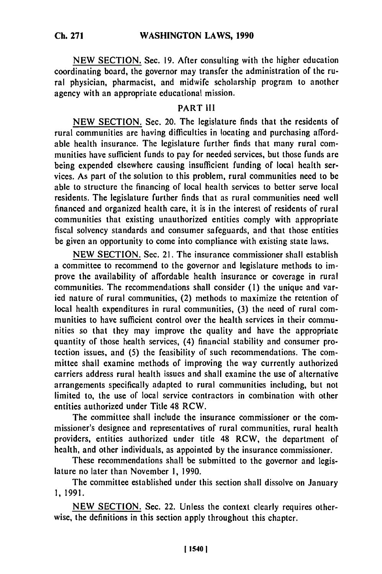NEW SECTION. Sec. **19.** After consulting with the higher education coordinating board, the governor may transfer the administration of the rural physician, pharmacist, and midwife scholarship program to another agency with an appropriate educational mission.

# PART III

NEW SECTION. Sec. 20. The legislature finds that the residents of rural communities are having difficulties in locating and purchasing affordable health insurance. The legislature further finds that many rural communities have sufficient funds to pay for needed services, but those funds are being expended elsewhere causing insufficient funding of local health services. As part of the solution to this problem, rural communities need to be able to structure the financing of local health services to better serve local residents. The legislature further finds that as rural communities need well financed and organized health care, it is in the interest of residents of rural communities that existing unauthorized entities comply with appropriate fiscal solvency standards and consumer safeguards, and that those entities be given an opportunity to come into compliance with existing state laws.

NEW SECTION. Sec. 21. The insurance commissioner shall establish a committee to recommend to the governor and legislature methods to improve the availability of affordable health insurance or coverage in rural communities. The recommendations shall consider **(1)** the unique and varied nature of rural communities, (2) methods to maximize the retention of local health expenditures in rural communities, (3) the need of rural communities to have sufficient control over the health services in their communities so that they may improve the quality and have the appropriate quantity of those health services, (4) financial stability and consumer protection issues, and (5) the feasibility of such recommendations. The committee shall examine methods of improving the way currently authorized carriers address rural health issues and shall examine the use of alternative arrangements specifically adapted to rural communities including, but not limited to, the use of local service contractors in combination with other entities authorized under Title 48 RCW.

The committee shall include the insurance commissioner or the commissioner's designee and representatives of rural communities, rural health providers, entities authorized under title 48 RCW, the department of health, and other individuals, as appointed by the insurance commissioner.

These recommendations shall be submitted to the governor and legislature no later than November 1, 1990.

The committee established under this section shall dissolve on January 1, 1991.

NEW SECTION. Sec. 22. Unless the context clearly requires otherwise, the definitions in this section apply throughout this chapter.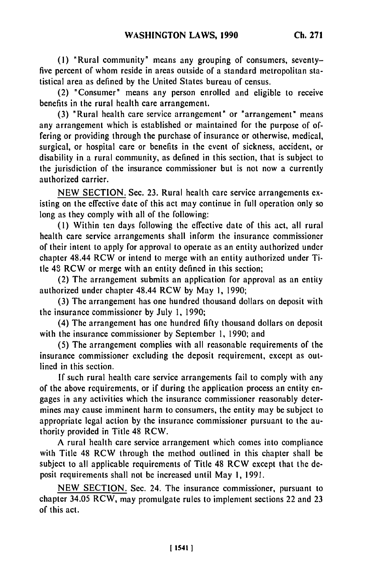**(1)** "Rural community' means any grouping of consumers, seventyfive percent of whom reside in areas outside of a standard metropolitan statistical area as defined by the United States bureau of census.

(2) "Consumer' means any person enrolled and eligible to receive benefits in the rural health care arrangement.

(3) 'Rural health care service arrangement' or "arrangement' means any arrangement which is established or maintained for the purpose of offering or providing through the purchase of insurance or otherwise, medical, surgical, or hospital care or benefits in the event of sickness, accident, or disability in a rural community, as defined in this section, that is subject to the jurisdiction of the insurance commissioner but is not now a currently authorized carrier.

NEW SECTION. Sec. 23. Rural health care service arrangements existing on the effective date of this act may continue in full operation only so long as they comply with all of the following:

(1) Within ten days following the effective date of this act, all rural health care service arrangements shall inform the insurance commissioner of their intent to apply for approval to operate as an entity authorized under chapter 48.44 RCW or intend to merge with an entity authorized under Title 48 RCW or merge with an entity defined in this section;

(2) The arrangement submits an application for approval as an entity authorized under chapter 48.44 RCW by May **1,** 1990;

(3) The arrangement has one hundred thousand dollars on deposit with the insurance commissioner by July **1,** 1990;

(4) The arrangement has one hundred fifty thousand dollars on deposit with the insurance commissioner by September 1, 1990; and

(5) The arrangement complies with all reasonable requirements of the insurance commissioner excluding the deposit requirement, except as outlined in this section.

If such rural health care service arrangements fail to comply with any of the above requirements, or if during the application process an entity engages in any activities which the insurance commissioner reasonably determines may cause imminent harm to consumers, the entity may be subject to appropriate legal action by the insurance commissioner pursuant to the authority provided in Title 48 RCW.

A rural health care service arrangement which comes into compliance with Title 48 RCW through the method outlined in this chapter shall be subject to all applicable requirements of Title 48 RCW except that the deposit requirements shall not be increased until May **1,** 1991.

NEW SECTION. Sec. 24. The insurance commissioner, pursuant to chapter 34.05 RCW, may promulgate rules to implement sections 22 and 23 of this act.